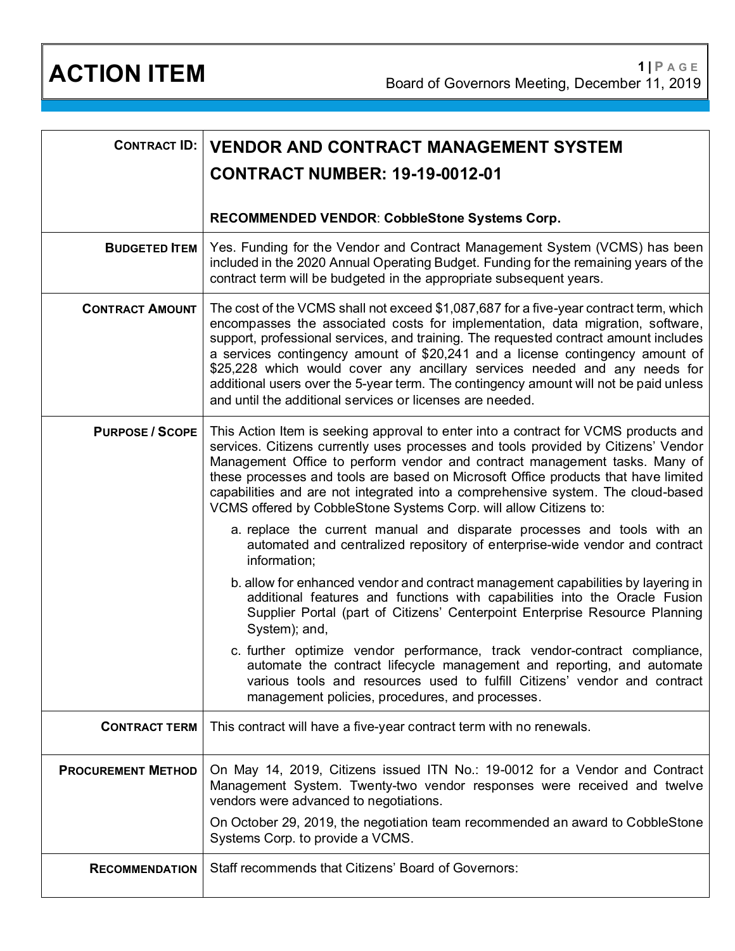| <b>CONTRACT ID:</b>       | <b>VENDOR AND CONTRACT MANAGEMENT SYSTEM</b>                                                                                                                                                                                                                                                                                                                                                                                                                                                                                                                                          |
|---------------------------|---------------------------------------------------------------------------------------------------------------------------------------------------------------------------------------------------------------------------------------------------------------------------------------------------------------------------------------------------------------------------------------------------------------------------------------------------------------------------------------------------------------------------------------------------------------------------------------|
|                           | <b>CONTRACT NUMBER: 19-19-0012-01</b>                                                                                                                                                                                                                                                                                                                                                                                                                                                                                                                                                 |
|                           | RECOMMENDED VENDOR: CobbleStone Systems Corp.                                                                                                                                                                                                                                                                                                                                                                                                                                                                                                                                         |
| <b>BUDGETED ITEM</b>      | Yes. Funding for the Vendor and Contract Management System (VCMS) has been<br>included in the 2020 Annual Operating Budget. Funding for the remaining years of the<br>contract term will be budgeted in the appropriate subsequent years.                                                                                                                                                                                                                                                                                                                                             |
| <b>CONTRACT AMOUNT</b>    | The cost of the VCMS shall not exceed \$1,087,687 for a five-year contract term, which<br>encompasses the associated costs for implementation, data migration, software,<br>support, professional services, and training. The requested contract amount includes<br>a services contingency amount of \$20,241 and a license contingency amount of<br>\$25,228 which would cover any ancillary services needed and any needs for<br>additional users over the 5-year term. The contingency amount will not be paid unless<br>and until the additional services or licenses are needed. |
| <b>PURPOSE / SCOPE</b>    | This Action Item is seeking approval to enter into a contract for VCMS products and<br>services. Citizens currently uses processes and tools provided by Citizens' Vendor<br>Management Office to perform vendor and contract management tasks. Many of<br>these processes and tools are based on Microsoft Office products that have limited<br>capabilities and are not integrated into a comprehensive system. The cloud-based<br>VCMS offered by CobbleStone Systems Corp. will allow Citizens to:                                                                                |
|                           | a. replace the current manual and disparate processes and tools with an<br>automated and centralized repository of enterprise-wide vendor and contract<br>information;                                                                                                                                                                                                                                                                                                                                                                                                                |
|                           | b. allow for enhanced vendor and contract management capabilities by layering in<br>additional features and functions with capabilities into the Oracle Fusion<br>Supplier Portal (part of Citizens' Centerpoint Enterprise Resource Planning<br>System); and,                                                                                                                                                                                                                                                                                                                        |
|                           | c. further optimize vendor performance, track vendor-contract compliance,<br>automate the contract lifecycle management and reporting, and automate<br>various tools and resources used to fulfill Citizens' vendor and contract<br>management policies, procedures, and processes.                                                                                                                                                                                                                                                                                                   |
| <b>CONTRACT TERM</b>      | This contract will have a five-year contract term with no renewals.                                                                                                                                                                                                                                                                                                                                                                                                                                                                                                                   |
| <b>PROCUREMENT METHOD</b> | On May 14, 2019, Citizens issued ITN No.: 19-0012 for a Vendor and Contract<br>Management System. Twenty-two vendor responses were received and twelve<br>vendors were advanced to negotiations.                                                                                                                                                                                                                                                                                                                                                                                      |
|                           | On October 29, 2019, the negotiation team recommended an award to CobbleStone<br>Systems Corp. to provide a VCMS.                                                                                                                                                                                                                                                                                                                                                                                                                                                                     |
| <b>RECOMMENDATION</b>     | Staff recommends that Citizens' Board of Governors:                                                                                                                                                                                                                                                                                                                                                                                                                                                                                                                                   |